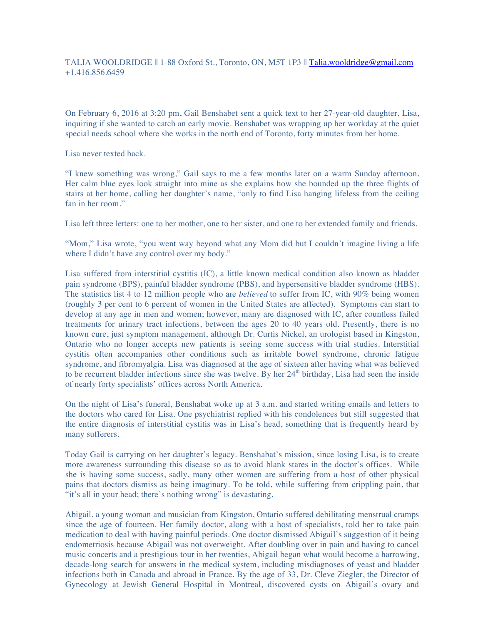## TALIA WOOLDRIDGE || 1-88 Oxford St., Toronto, ON, M5T 1P3 || Talia.wooldridge@gmail.com +1.416.856.6459

On February 6, 2016 at 3:20 pm, Gail Benshabet sent a quick text to her 27-year-old daughter, Lisa, inquiring if she wanted to catch an early movie. Benshabet was wrapping up her workday at the quiet special needs school where she works in the north end of Toronto, forty minutes from her home.

Lisa never texted back.

"I knew something was wrong," Gail says to me a few months later on a warm Sunday afternoon. Her calm blue eyes look straight into mine as she explains how she bounded up the three flights of stairs at her home, calling her daughter's name, "only to find Lisa hanging lifeless from the ceiling fan in her room."

Lisa left three letters: one to her mother, one to her sister, and one to her extended family and friends.

"Mom," Lisa wrote, "you went way beyond what any Mom did but I couldn't imagine living a life where I didn't have any control over my body."

Lisa suffered from interstitial cystitis (IC), a little known medical condition also known as bladder pain syndrome (BPS), painful bladder syndrome (PBS), and hypersensitive bladder syndrome (HBS). The statistics list 4 to 12 million people who are *believed* to suffer from IC, with 90% being women (roughly 3 per cent to 6 percent of women in the United States are affected). Symptoms can start to develop at any age in men and women; however, many are diagnosed with IC, after countless failed treatments for urinary tract infections, between the ages 20 to 40 years old. Presently, there is no known cure, just symptom management, although Dr. Curtis Nickel, an urologist based in Kingston, Ontario who no longer accepts new patients is seeing some success with trial studies. Interstitial cystitis often accompanies other conditions such as irritable bowel syndrome, chronic fatigue syndrome, and fibromyalgia. Lisa was diagnosed at the age of sixteen after having what was believed to be recurrent bladder infections since she was twelve. By her 24<sup>th</sup> birthday, Lisa had seen the inside of nearly forty specialists' offices across North America.

On the night of Lisa's funeral, Benshabat woke up at 3 a.m. and started writing emails and letters to the doctors who cared for Lisa. One psychiatrist replied with his condolences but still suggested that the entire diagnosis of interstitial cystitis was in Lisa's head, something that is frequently heard by many sufferers.

Today Gail is carrying on her daughter's legacy. Benshabat's mission, since losing Lisa, is to create more awareness surrounding this disease so as to avoid blank stares in the doctor's offices. While she is having some success, sadly, many other women are suffering from a host of other physical pains that doctors dismiss as being imaginary. To be told, while suffering from crippling pain, that "it's all in your head; there's nothing wrong" is devastating.

Abigail, a young woman and musician from Kingston, Ontario suffered debilitating menstrual cramps since the age of fourteen. Her family doctor, along with a host of specialists, told her to take pain medication to deal with having painful periods. One doctor dismissed Abigail's suggestion of it being endometriosis because Abigail was not overweight. After doubling over in pain and having to cancel music concerts and a prestigious tour in her twenties, Abigail began what would become a harrowing, decade-long search for answers in the medical system, including misdiagnoses of yeast and bladder infections both in Canada and abroad in France. By the age of 33, Dr. Cleve Ziegler, the Director of Gynecology at Jewish General Hospital in Montreal, discovered cysts on Abigail's ovary and